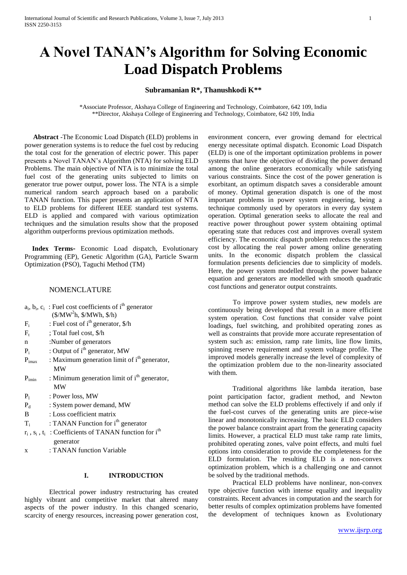# **A Novel TANAN's Algorithm for Solving Economic Load Dispatch Problems**

#### **Subramanian R\*, Thanushkodi K\*\***

\*Associate Professor, Akshaya College of Engineering and Technology, Coimbatore, 642 109, India \*\*Director, Akshaya College of Engineering and Technology, Coimbatore, 642 109, India

 **Abstract** -The Economic Load Dispatch (ELD) problems in power generation systems is to reduce the fuel cost by reducing the total cost for the generation of electric power. This paper presents a Novel TANAN's Algorithm (NTA) for solving ELD Problems. The main objective of NTA is to minimize the total fuel cost of the generating units subjected to limits on generator true power output, power loss. The NTA is a simple numerical random search approach based on a parabolic TANAN function. This paper presents an application of NTA to ELD problems for different IEEE standard test systems. ELD is applied and compared with various optimization techniques and the simulation results show that the proposed algorithm outperforms previous optimization methods.

 **Index Terms-** Economic Load dispatch, Evolutionary Programming (EP), Genetic Algorithm (GA), Particle Swarm Optimization (PSO), Taguchi Method (TM)

# NOMENCLATURE

|       | $a_i$ , $b_i$ , $c_i$ : Fuel cost coefficients of $ith$ generator |
|-------|-------------------------------------------------------------------|
|       | $(\frac{5}{MW^2h}, \frac{5}{MWh}, \frac{5}{h})$                   |
| $F_i$ | : Fuel cost of $ith$ generator, $\frac{1}{2}$ h                   |

- $F_t$ ; Total fuel cost, \$/h
- n :Number of generators
- Pi : Output of i<sup>th</sup> generator, MW
- $P_{imax}$  : Maximum generation limit of  $i<sup>th</sup>$  generator, MW
- $P_{\text{imin}}$  : Minimum generation limit of i<sup>th</sup> generator, MW
- $P_1$  : Power loss, MW
- P<sub>d</sub> : System power demand, MW
- B : Loss coefficient matrix
- Ti : TANAN Function for i<sup>th</sup> generator
- $r_i$ ,  $s_i$ ,  $t_i$ : Coefficients of TANAN function for i<sup>th</sup> generator
- x : TANAN function Variable

## **I. INTRODUCTION**

Electrical power industry restructuring has created highly vibrant and competitive market that altered many aspects of the power industry. In this changed scenario, scarcity of energy resources, increasing power generation cost, environment concern, ever growing demand for electrical energy necessitate optimal dispatch. Economic Load Dispatch (ELD) is one of the important optimization problems in power systems that have the objective of dividing the power demand among the online generators economically while satisfying various constraints. Since the cost of the power generation is exorbitant, an optimum dispatch saves a considerable amount of money. Optimal generation dispatch is one of the most important problems in power system engineering, being a technique commonly used by operators in every day system operation. Optimal generation seeks to allocate the real and reactive power throughout power system obtaining optimal operating state that reduces cost and improves overall system efficiency. The economic dispatch problem reduces the system cost by allocating the real power among online generating units. In the economic dispatch problem the classical formulation presents deficiencies due to simplicity of models. Here, the power system modelled through the power balance equation and generators are modelled with smooth quadratic cost functions and generator output constraints.

To improve power system studies, new models are continuously being developed that result in a more efficient system operation. Cost functions that consider valve point loadings, fuel switching, and prohibited operating zones as well as constraints that provide more accurate representation of system such as: emission, ramp rate limits, line flow limits, spinning reserve requirement and system voltage profile. The improved models generally increase the level of complexity of the optimization problem due to the non-linearity associated with them.

Traditional algorithms like lambda iteration, base point participation factor, gradient method, and Newton method can solve the ELD problems effectively if and only if the fuel-cost curves of the generating units are piece-wise linear and monotonically increasing. The basic ELD considers the power balance constraint apart from the generating capacity limits. However, a practical ELD must take ramp rate limits, prohibited operating zones, valve point effects, and multi fuel options into consideration to provide the completeness for the ELD formulation. The resulting ELD is a non-convex optimization problem, which is a challenging one and cannot be solved by the traditional methods.

Practical ELD problems have nonlinear, non-convex type objective function with intense equality and inequality constraints. Recent advances in computation and the search for better results of complex optimization problems have fomented the development of techniques known as Evolutionary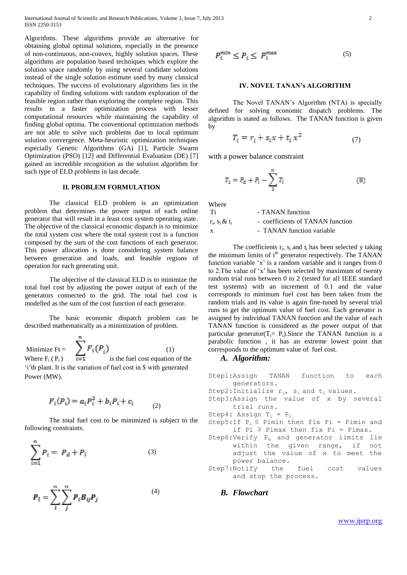International Journal of Scientific and Research Publications, Volume 3, Issue 7, July 2013 2 ISSN 2250-3153

Algorithms. These algorithms provide an alternative for obtaining global optimal solutions, especially in the presence of non-continuous, non-convex, highly solution spaces. These algorithms are population based techniques which explore the solution space randomly by using several candidate solutions instead of the single solution estimate used by many classical techniques. The success of evolutionary algorithms lies in the capability of finding solutions with random exploration of the feasible region rather than exploring the complete region. This results in a faster optimization process with lesser computational resources while maintaining the capability of finding global optima. The conventional optimization methods are not able to solve such problems due to local optimum solution convergence. Meta-heuristic optimization techniques especially Genetic Algorithms (GA) [1], Particle Swarm Optimization (PSO) [12] and Differential Evaluation (DE) [7] gained an incredible recognition as the solution algorithm for such type of ELD problems in last decade.

#### **II. PROBLEM FORMULATION**

The classical ELD problem is an optimization problem that determines the power output of each online generator that will result in a least cost system operating state. The objective of the classical economic dispatch is to minimize the total system cost where the total system cost is a function composed by the sum of the cost functions of each generator. This power allocation is done considering system balance between generation and loads, and feasible regions of operation for each generating unit.

The objective of the classical ELD is to minimize the total fuel cost by adjusting the power output of each of the generators connected to the grid. The total fuel cost is modelled as the sum of the cost function of each generator.

The basic economic dispatch problem can be described mathematically as a minimization of problem.

Minimize Ft =  $\sum_{i=1}^{n} F_i(P_i)$  (1) Where  $F_i(P_i)$  is the fuel cost equation of the ‗i'th plant. It is the variation of fuel cost in \$ with generated Power (MW).

$$
F_i(P_i) = a_i P_i^2 + b_i P_i + c_i \tag{2}
$$

The total fuel cost to be minimized is subject to the following constraints.

(4)

$$
\sum_{i=1}^{n} P_i = P_d + P_l \tag{3}
$$

$$
P_l = \sum_{i}^{n} \sum_{j}^{n} P_i B_{ij} P_j
$$

$$
P_i^{min} \le P_i \le P_i^{max} \tag{5}
$$

#### **IV. NOVEL TANAN's ALGORITHM**

The Novel TANAN's Algorithm (NTA) is specially defined for solving economic dispatch problems. The algorithm is stated as follows. The TANAN function is given by

$$
T_i = r_i + s_i x + t_i x^2 \tag{7}
$$

with a power balance constraint

$$
T_1 = P_d + P_l - \sum_{i=1}^{n} T_i
$$
 (8)

Where

| Ti                   | - TANAN function                 |
|----------------------|----------------------------------|
| $r_i$ , $s_i \& t_i$ | - coefficients of TANAN function |
| X                    | - TANAN function variable        |

The coefficients  $r_i$ ,  $s_i$  and  $t_i$  has been selected y taking the minimum limits of  $i<sup>th</sup>$  generator respectively. The TANAN function variable  $x'$  is a random variable and it ranges from 0 to 2. The value of 'x' has been selected by maximum of twenty random trial runs between 0 to 2 (tested for all IEEE standard test systems) with an increment of 0.1 and the value corresponds to minimum fuel cost has been taken from the random trials and its value is again fine-tuned by several trial runs to get the optimum value of fuel cost. Each generator is assigned by individual TANAN function and the value of each TANAN function is considered as the power output of that particular generator( $T_i = P_i$ ). Since the TANAN function is a parabolic function , it has an extreme lowest point that corresponds to the optimum value of fuel cost.

## *A. Algorithm:*

Step1:Assign TANAN function to each generators. Step2: Initialize  $r_i$ ,  $s_i$  and  $t_i$  values. Step3:Assign the value of x by several trial runs. Step4: Assign  $T_i = P_i$ . Step5:If  $P_i \leq$  Pimin then fix Pi = Pimin and if Pi  $\geq$  Pimax then fix Pi = Pimax.  $Step 6: Verify P<sub>d</sub>$  and generator limits lie within the given range, if not adjust the value of x to meet the power balance. Step7:Notify the fuel cost values and stop the process.

*B. Flowchart*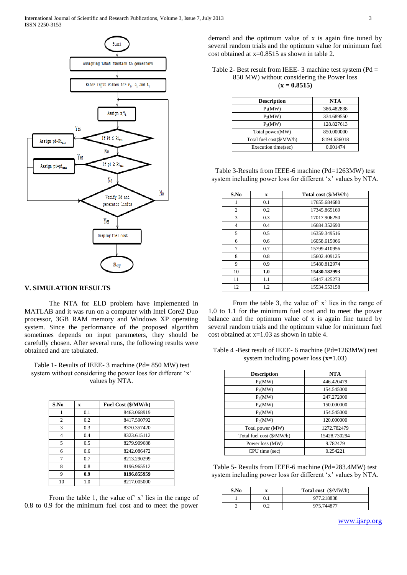

## **V. SIMULATION RESULTS**

The NTA for ELD problem have implemented in MATLAB and it was run on a computer with Intel Core2 Duo processor, 3GB RAM memory and Windows XP operating system. Since the performance of the proposed algorithm sometimes depends on input parameters, they should be carefully chosen. After several runs, the following results were obtained and are tabulated.

Table 1- Results of IEEE- 3 machine (Pd= 850 MW) test system without considering the power loss for different 'x' values by NTA.

| S.No           | X   | Fuel Cost (\$/MW/h) |
|----------------|-----|---------------------|
|                | 0.1 | 8463.068919         |
| $\overline{c}$ | 0.2 | 8417.590792         |
| 3              | 0.3 | 8370.357420         |
| 4              | 0.4 | 8323.615112         |
| 5              | 0.5 | 8279.909688         |
| 6              | 0.6 | 8242.086472         |
| 7              | 0.7 | 8213.290299         |
| 8              | 0.8 | 8196.965512         |
| 9              | 0.9 | 8196.855959         |
| 10             | 1.0 | 8217.005000         |

From the table 1, the value of' x' lies in the range of 0.8 to 0.9 for the minimum fuel cost and to meet the power

demand and the optimum value of x is again fine tuned by several random trials and the optimum value for minimum fuel cost obtained at x=0.8515 as shown in table 2.

Table 2- Best result from IEEE- 3 machine test system (Pd = 850 MW) without considering the Power loss (**x = 0.8515)**

| <b>Description</b>       | <b>NTA</b>  |
|--------------------------|-------------|
| $P_1(MW)$                | 386.482838  |
| $P_2(MW)$                | 334.689550  |
| $P_3(MW)$                | 128.827613  |
| Total power(MW)          | 850,000000  |
| Total fuel cost(\$/MW/h) | 8194.636018 |
| Execution time(sec)      | 0.001474    |

Table 3-Results from IEEE-6 machine (Pd=1263MW) test system including power loss for different 'x' values by NTA.

| S.No           | X   | <b>Total cost</b> (\$/MW/h) |
|----------------|-----|-----------------------------|
| 1              | 0.1 | 17655.684680                |
| 2              | 0.2 | 17345.865169                |
| 3              | 0.3 | 17017.906250                |
| $\overline{4}$ | 0.4 | 16684.352690                |
| 5              | 0.5 | 16359.349516                |
| 6              | 0.6 | 16058.615066                |
| 7              | 0.7 | 15799.410956                |
| 8              | 0.8 | 15602.409125                |
| 9              | 0.9 | 15480.812974                |
| 10             | 1.0 | 15430.182993                |
| 11             | 1.1 | 15447.425273                |
| 12             | 1.2 | 15534.553158                |

From the table 3, the value of' x' lies in the range of 1.0 to 1.1 for the minimum fuel cost and to meet the power balance and the optimum value of x is again fine tuned by several random trials and the optimum value for minimum fuel cost obtained at x=1.03 as shown in table 4.

Table 4 -Best result of IEEE- 6 machine (Pd=1263MW) test system including power loss (**x=**1.03)

| <b>Description</b>        | <b>NTA</b>   |
|---------------------------|--------------|
| $P_1(MW)$                 | 446.420479   |
| $P_2(MW)$                 | 154.545000   |
| $P_3(MW)$                 | 247.272000   |
| $P_4(MW)$                 | 150.000000   |
| $P_5(MW)$                 | 154.545000   |
| $P_6(MW)$                 | 120.000000   |
| Total power (MW)          | 1272.782479  |
| Total fuel cost (\$/MW/h) | 15428.730294 |
| Power loss (MW)           | 9.782479     |
| CPU time (sec)            | 0.254221     |

Table 5- Results from IEEE-6 machine (Pd=283.4MW) test system including power loss for different 'x' values by NTA.

| S.No | <b>Total cost</b> (\$/MW/h) |
|------|-----------------------------|
|      | 977.218838                  |
|      | 975.744877                  |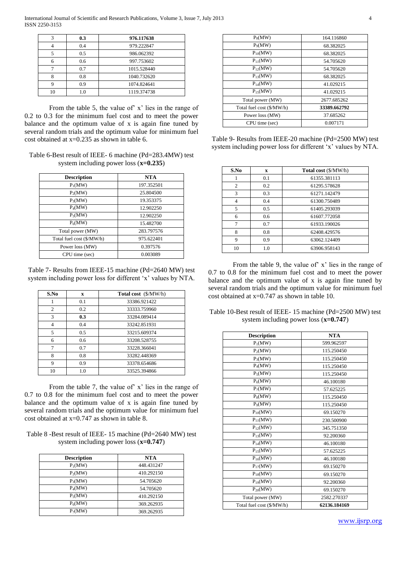| 3  | 0.3 | 976.117638  |
|----|-----|-------------|
|    | 0.4 | 979.222847  |
|    | 0.5 | 986.062392  |
|    | 0.6 | 997.753602  |
|    | 0.7 | 1015.528440 |
|    | 0.8 | 1040.732620 |
|    | 0.9 | 1074.824641 |
| 10 | 1.0 | 1119.374738 |

From the table 5, the value of' x' lies in the range of 0.2 to 0.3 for the minimum fuel cost and to meet the power balance and the optimum value of x is again fine tuned by several random trials and the optimum value for minimum fuel cost obtained at x=0.235 as shown in table 6.

| Table 6-Best result of IEEE- 6 machine (Pd=283.4MW) test |  |
|----------------------------------------------------------|--|
| system including power loss $(x=0.235)$                  |  |

| <b>Description</b>        | NTA        |
|---------------------------|------------|
| $P_1(MW)$                 | 197.352501 |
| $P_2(MW)$                 | 25.804500  |
| $P_3(MW)$                 | 19.353375  |
| $P_4(MW)$                 | 12.902250  |
| $P_5(MW)$                 | 12.902250  |
| $P_6(MW)$                 | 15.482700  |
| Total power (MW)          | 283.797576 |
| Total fuel cost (\$/MW/h) | 975.622401 |
| Power loss (MW)           | 0.397576   |
| CPU time (sec)            | 0.003089   |

Table 7- Results from IEEE-15 machine (Pd=2640 MW) test system including power loss for different 'x' values by NTA.

| S.No | $\mathbf x$   | Total cost (\$/MW/h) |
|------|---------------|----------------------|
|      | 0.1           | 33386.921422         |
| 2    | 0.2           | 33333.759960         |
| 3    | 0.3           | 33284.089414         |
| 4    | 0.4           | 33242.851931         |
| 5    | 0.5           | 33215.609374         |
| 6    | $0.6^{\circ}$ | 33208.528755         |
| 7    | 0.7           | 33228.366041         |
| 8    | 0.8           | 33282.448369         |
| 9    | 0.9           | 33378.654686         |
| 10   | 1.0           | 33525.394866         |

From the table 7, the value of' x' lies in the range of 0.7 to 0.8 for the minimum fuel cost and to meet the power balance and the optimum value of x is again fine tuned by several random trials and the optimum value for minimum fuel cost obtained at x=0.747 as shown in table 8.

Table 8 -Best result of IEEE- 15 machine (Pd=2640 MW) test system including power loss (**x=0.747**)

| <b>Description</b> | NTA        |
|--------------------|------------|
| $P_1(MW)$          | 448.431247 |
| $P_2(MW)$          | 410.292150 |
| $P_3(MW)$          | 54.705620  |
| $P_4(MW)$          | 54.705620  |
| $P_5(MW)$          | 410.292150 |
| $P_6(MW)$          | 369.262935 |
| $P_7(MW)$          | 369.262935 |

| $P_8(MW)$                 | 164.116860   |  |  |  |
|---------------------------|--------------|--|--|--|
| P <sub>9</sub> (MW)       | 68.382025    |  |  |  |
| $P_{10}(MW)$              | 68.382025    |  |  |  |
| $P_{11}(MW)$              | 54.705620    |  |  |  |
| $P_{12}(MW)$              | 54.705620    |  |  |  |
| $P_{13}(MW)$              | 68.382025    |  |  |  |
| $P_{14}(MW)$              | 41.029215    |  |  |  |
| $P_{15}(MW)$              | 41.029215    |  |  |  |
| Total power (MW)          | 2677.685262  |  |  |  |
| Total fuel cost (\$/MW/h) | 33389.662792 |  |  |  |
| Power loss (MW)           | 37.685262    |  |  |  |
| CPU time (sec)            | 0.007171     |  |  |  |

Table 9- Results from IEEE-20 machine (Pd=2500 MW) test system including power loss for different 'x' values by NTA.

| S.No           | X   | <b>Total cost</b> (\$/MW/h) |
|----------------|-----|-----------------------------|
|                | 0.1 | 61355.381113                |
| $\overline{c}$ | 0.2 | 61295.578628                |
| 3              | 0.3 | 61271.142479                |
| $\overline{4}$ | 0.4 | 61300.750489                |
| 5              | 0.5 | 61405.293039                |
| 6              | 0.6 | 61607.772058                |
| 7              | 0.7 | 61933.190026                |
| 8              | 0.8 | 62408.429576                |
| 9              | 0.9 | 63062.124409                |
| 10             | 1.0 | 63906.958143                |

From the table 9, the value of' x' lies in the range of 0.7 to 0.8 for the minimum fuel cost and to meet the power balance and the optimum value of x is again fine tuned by several random trials and the optimum value for minimum fuel cost obtained at x=0.747 as shown in table 10.

Table 10-Best result of IEEE- 15 machine (Pd=2500 MW) test system including power loss (**x=0.747**)

| <b>Description</b>        | <b>NTA</b>   |  |  |  |
|---------------------------|--------------|--|--|--|
| $P_1(MW)$                 | 599.962597   |  |  |  |
| $P_2(MW)$                 | 115.250450   |  |  |  |
| $P_3(MW)$                 | 115.250450   |  |  |  |
| $P_4(MW)$                 | 115.250450   |  |  |  |
| $P_5(MW)$                 | 115.250450   |  |  |  |
| $P_6(MW)$                 | 46.100180    |  |  |  |
| $P_7(MW)$                 | 57.625225    |  |  |  |
| $P_8(MW)$                 | 115.250450   |  |  |  |
| $P_9(MW)$                 | 115.250450   |  |  |  |
| $P_{10}(MW)$              | 69.150270    |  |  |  |
| $P_{11}(MW)$              | 230.500900   |  |  |  |
| $P_{12}(MW)$              | 345.751350   |  |  |  |
| $P_{13}(MW)$              | 92.200360    |  |  |  |
| $P_{14}(MW)$              | 46.100180    |  |  |  |
| $P_{15}(MW)$              | 57.625225    |  |  |  |
| $P_{16}(MW)$              | 46.100180    |  |  |  |
| $P_{17}(MW)$              | 69.150270    |  |  |  |
| $P_{18}(MW)$              | 69.150270    |  |  |  |
| $P_{19}(MW)$              | 92.200360    |  |  |  |
| $P_{20}(MW)$              | 69.150270    |  |  |  |
| Total power (MW)          | 2582.270337  |  |  |  |
| Total fuel cost (\$/MW/h) | 62136.184169 |  |  |  |
|                           |              |  |  |  |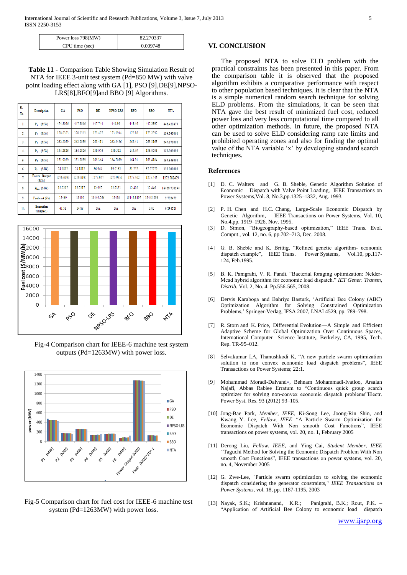| Power loss 798(MW) | 82.270337 |  |  |
|--------------------|-----------|--|--|
| CPU time (sec)     | 0.009748  |  |  |

**Table 11 -** Comparison Table Showing Simulation Result of NTA for IEEE 3-unit test system (Pd=850 MW) with valve point loading effect along with GA [1], PSO [9],DE[9],NPSO-LRS[8],BFO[9]and BBO [9] Algorithms.

| SI.<br>No | <b>Description</b>      | <b>GA</b> | PS <sub>0</sub> | DE        | <b>NPSO-LRS</b> | <b>BFO</b> | <b>BBO</b> | <b>NTA</b>   |
|-----------|-------------------------|-----------|-----------------|-----------|-----------------|------------|------------|--------------|
| ı.        | (MW)<br>P.              | 474.8066  | 447.8066        | 447.744   | 446.96          | 449.46     | 447.3997   | 446.420479   |
| 2.        | (MW)<br>Р,              | 178.6363  | 178.6363        | 173,407   | 173.3944        | 172.88     | 173.2392   | 154.545000   |
| 3.        | (MW)<br>Ps.             | 262.2089  | 262.2089        | 263.411   | 262.3436        | 263.41     | 263.3163   | 247.272000   |
| 4.        | (MW)<br>P.              | 134.2826  | 134.2826        | 139.076   | 139.512         | 143.49     | 138,0006   | 150.000000   |
| 5.        | (MW)<br>P.              | 151,9039  | 151.9039        | 165.364   | 164.7089        | 164.91     | 165.4104   | 154.545000   |
| 6.        | (MW)<br>P.              | 74.1812   | 74.1812         | 86.944    | 89.0162         | 81.252     | 87.07979   | 120.000000   |
| 7.        | Power Output<br>(MW)    | 1276.0195 | 1276.0195       | 1275.947  | 1275.9351       | 1275.402   | 1275.446   | 1272.782479  |
| 8.        | $P_{\text{low}}$ (MW)   | 13.0217   | 13.0217         | 12.957    | 12.9351         | 12.402     | 12.446     | 15428.730294 |
| 9.        | Fuel cost (\$/h)        | 15469     | 15459           | 15449.766 | 15450           | 15443.8497 | 15443.096  | 9.782479     |
| 10.       | Execution<br>time(sec.) | 41.58     | 14.89           | NA        | NA              | NA         | 0.03       | 0.254221     |



Fig-4 Comparison chart for IEEE-6 machine test system outputs (Pd=1263MW) with power loss.



Fig-5 Comparison chart for fuel cost for IEEE-6 machine test system (Pd=1263MW) with power loss.

#### **VI. CONCLUSION**

The proposed NTA to solve ELD problem with the practical constraints has been presented in this paper. From the comparison table it is observed that the proposed algorithm exhibits a comparative performance with respect to other population based techniques. It is clear that the NTA is a simple numerical random search technique for solving ELD problems. From the simulations, it can be seen that NTA gave the best result of minimized fuel cost, reduced power loss and very less computational time compared to all other optimization methods. In future, the proposed NTA can be used to solve ELD considering ramp rate limits and prohibited operating zones and also for finding the optimal value of the NTA variable 'x' by developing standard search techniques.

#### **References**

- [1] D. C. Walters and G. B. Sheble, Genetic Algorithm Solution of Economic Dispatch with Valve Point Loading, IEEE Transactions on Power Systems,Vol. 8, No.3,pp.1325–1332, Aug. 1993.
- [2] P. H. Chen and H.C. Chang, Large-Scale Economic Dispatch by Genetic Algorithm, IEEE Transactions on Power Systems, Vol. 10, No.4,pp. 1919–1926, Nov. 1995.
- [3] D. Simon, "Biogeography-based optimization," IEEE Trans. Evol. Comput., vol. 12, no. 6, pp.702–713, Dec. 2008.
- [4] G. B. Sheble and K. Brittig, "Refined genetic algorithm- economic dispatch example", IEEE Trans. Power Systems, Vol.10, pp.117-124, Feb.1995.
- [5] B. K. Panigrahi, V. R. Pandi. "Bacterial foraging optimization: Nelder-Mead hybrid algorithm for economic load dispatch." IET Gener. Transm, *Distrib.* Vol. 2, No. 4. Pp.556-565, 2008.
- [6] Dervis Karaboga and Bahriye Basturk, ‗Artificial Bee Colony (ABC) Optimization Algorithm for Solving Constrained Optimization Problems,' Springer-Verlag, IFSA 2007, LNAI 4529, pp. 789–798.
- [7] R. Storn and K. Price, Differential Evolution—A Simple and Efficient Adaptive Scheme for Global Optimization Over Continuous Spaces, International Computer Science Institute,, Berkeley, CA, 1995, Tech. Rep. TR-95–012.
- [8] Selvakumar I.A, Thanushkodi K, "A new particle swarm optimization solution to non convex economic load dispatch problems", IEEE Transactions on Power Systems; 22:1.
- [9] Mohammad Moradi-Dalvand∗, Behnam Mohammadi-Ivatloo, Arsalan Najafi, Abbas Rabiee Erratum to "Continuous quick group search optimizer for solving non-convex economic dispatch problems"Electr. Power Syst. Res. 93 (2012) 93–105.
- [10] Jong-Bae Park*, Member, IEEE*, Ki-Song Lee, Joong-Rin Shin, and Kwang Y. Lee*, Fellow, IEEE "*A Particle Swarm Optimization for Economic Dispatch With Non smooth Cost Functions", IEEE transactions on power systems, vol. 20, no. 1, February 2005
- [11] Derong Liu*, Fellow, IEEE,* and Ying Cai*, Student Member, IEEE "*Taguchi Method for Solving the Economic Dispatch Problem With Non smooth Cost Functions", IEEE transactions on power systems, vol. 20, no. 4, November 2005
- [12] G. Zwe-Lee, "Particle swarm optimization to solving the economic dispatch considering the generator constraints," *IEEE Transactions on Power Systems,* vol. 18, pp. 1187-1195, 2003
- [13] Nayak, S.K.; Krishnanand, K.R.; Panigrahi, B.K.; Rout, P.K. ―Application of Artificial Bee Colony to economic load dispatch

www.ijsrp.org